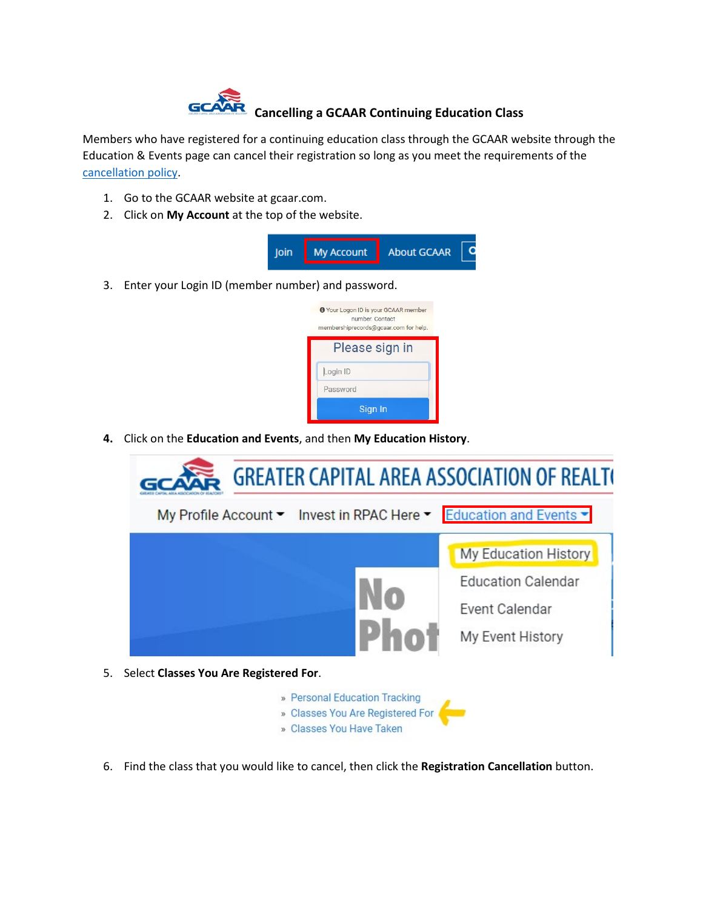

Members who have registered for a continuing education class through the GCAAR website through the Education & Events page can cancel their registration so long as you meet the requirements of the [cancellation policy.](https://gcaar.com/education-events/refund-policy)

- 1. Go to the GCAAR website at gcaar.com.
- 2. Click on **My Account** at the top of the website.





**4.** Click on the **Education and Events**, and then **My Education History**.



- 5. Select **Classes You Are Registered For**.
	- » Personal Education Tracking » Classes You Are Registered For
	- » Classes You Have Taken
- 6. Find the class that you would like to cancel, then click the **Registration Cancellation** button.